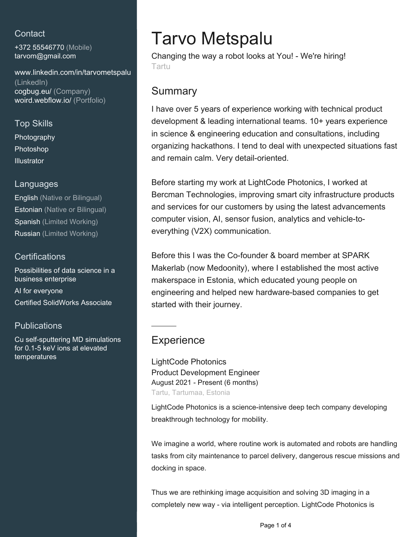## **Contact**

+372 55546770 (Mobile) [tarvom@gmail.com](mailto:tarvom@gmail.com)

#### [www.linkedin.com/in/tarvometspalu](https://www.linkedin.com/in/tarvometspalu?jobid=1234&lipi=urn%3Ali%3Apage%3Ad_jobs_easyapply_pdfgenresume%3B2IashMJYS6m8axt592%2BFGA%3D%3D&licu=urn%3Ali%3Acontrol%3Ad_jobs_easyapply_pdfgenresume-v02_profile) [\(LinkedIn\)](https://www.linkedin.com/in/tarvometspalu?jobid=1234&lipi=urn%3Ali%3Apage%3Ad_jobs_easyapply_pdfgenresume%3B2IashMJYS6m8axt592%2BFGA%3D%3D&licu=urn%3Ali%3Acontrol%3Ad_jobs_easyapply_pdfgenresume-v02_profile) [cogbug.eu/ \(Company\)](http://cogbug.eu/) [woird.webflow.io/ \(Portfolio\)](https://woird.webflow.io/)

Top Skills Photography Photoshop **Illustrator** 

### Languages

English (Native or Bilingual) Estonian (Native or Bilingual) Spanish (Limited Working) Russian (Limited Working)

## **Certifications**

Possibilities of data science in a business enterprise

AI for everyone Certified SolidWorks Associate

## **Publications**

Cu self-sputtering MD simulations for 0.1-5 keV ions at elevated temperatures

# Tarvo Metspalu

Changing the way a robot looks at You! - We're hiring! Tartu

# **Summary**

I have over 5 years of experience working with technical product development & leading international teams. 10+ years experience in science & engineering education and consultations, including organizing hackathons. I tend to deal with unexpected situations fast and remain calm. Very detail-oriented.

Before starting my work at LightCode Photonics, I worked at Bercman Technologies, improving smart city infrastructure products and services for our customers by using the latest advancements computer vision, AI, sensor fusion, analytics and vehicle-toeverything (V2X) communication.

Before this I was the Co-founder & board member at SPARK Makerlab (now Medoonity), where I established the most active makerspace in Estonia, which educated young people on engineering and helped new hardware-based companies to get started with their journey.

# **Experience**

LightCode Photonics Product Development Engineer August 2021 - Present (6 months) Tartu, Tartumaa, Estonia

LightCode Photonics is a science-intensive deep tech company developing breakthrough technology for mobility.

We imagine a world, where routine work is automated and robots are handling tasks from city maintenance to parcel delivery, dangerous rescue missions and docking in space.

Thus we are rethinking image acquisition and solving 3D imaging in a completely new way - via intelligent perception. LightCode Photonics is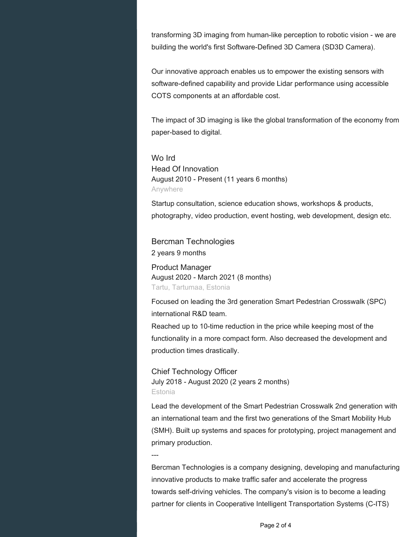transforming 3D imaging from human-like perception to robotic vision - we are building the world's first Software-Defined 3D Camera (SD3D Camera).

Our innovative approach enables us to empower the existing sensors with software-defined capability and provide Lidar performance using accessible COTS components at an affordable cost.

The impact of 3D imaging is like the global transformation of the economy from paper-based to digital.

Wo Ird Head Of Innovation August 2010 - Present (11 years 6 months) Anywhere

Startup consultation, science education shows, workshops & products, photography, video production, event hosting, web development, design etc.

Bercman Technologies 2 years 9 months

Product Manager August 2020 - March 2021 (8 months) Tartu, Tartumaa, Estonia

Focused on leading the 3rd generation Smart Pedestrian Crosswalk (SPC) international R&D team.

Reached up to 10-time reduction in the price while keeping most of the functionality in a more compact form. Also decreased the development and production times drastically.

Chief Technology Officer July 2018 - August 2020 (2 years 2 months) Estonia

Lead the development of the Smart Pedestrian Crosswalk 2nd generation with an international team and the first two generations of the Smart Mobility Hub (SMH). Built up systems and spaces for prototyping, project management and primary production.

---

Bercman Technologies is a company designing, developing and manufacturing innovative products to make traffic safer and accelerate the progress towards self-driving vehicles. The company's vision is to become a leading partner for clients in Cooperative Intelligent Transportation Systems (C-ITS)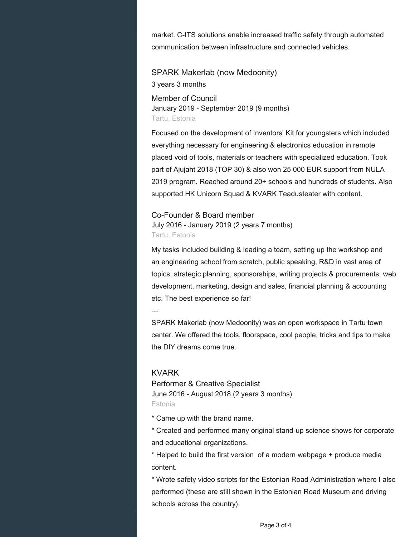market. C-ITS solutions enable increased traffic safety through automated communication between infrastructure and connected vehicles.

SPARK Makerlab (now Medoonity) 3 years 3 months Member of Council

January 2019 - September 2019 (9 months) Tartu, Estonia

Focused on the development of Inventors' Kit for youngsters which included everything necessary for engineering & electronics education in remote placed void of tools, materials or teachers with specialized education. Took part of Ajujaht 2018 (TOP 30) & also won 25 000 EUR support from NULA 2019 program. Reached around 20+ schools and hundreds of students. Also supported HK Unicorn Squad & KVARK Teadusteater with content.

Co-Founder & Board member July 2016 - January 2019 (2 years 7 months) Tartu, Estonia

My tasks included building & leading a team, setting up the workshop and an engineering school from scratch, public speaking, R&D in vast area of topics, strategic planning, sponsorships, writing projects & procurements, web development, marketing, design and sales, financial planning & accounting etc. The best experience so far!

---

SPARK Makerlab (now Medoonity) was an open workspace in Tartu town center. We offered the tools, floorspace, cool people, tricks and tips to make the DIY dreams come true.

### KVARK

Performer & Creative Specialist June 2016 - August 2018 (2 years 3 months) Estonia

\* Came up with the brand name.

\* Created and performed many original stand-up science shows for corporate and educational organizations.

\* Helped to build the first version of a modern webpage + produce media content.

\* Wrote safety video scripts for the Estonian Road Administration where I also performed (these are still shown in the Estonian Road Museum and driving schools across the country).